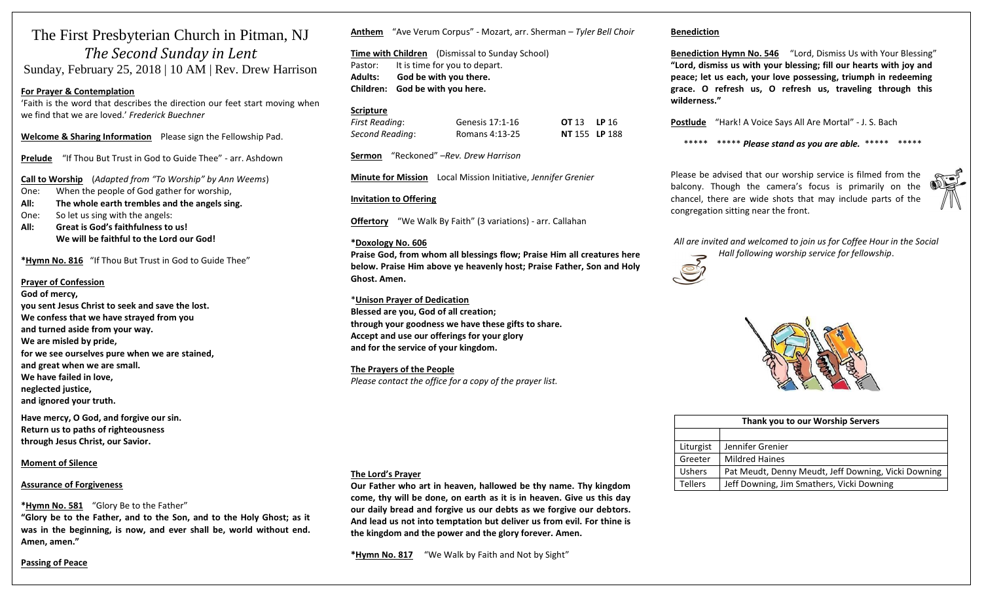# The First Presbyterian Church in Pitman, NJ *The Second Sunday in Lent*  Sunday, February 25, 2018 | 10 AM | Rev. Drew Harrison

# **For Prayer & Contemplation**

'Faith is the word that describes the direction our feet start moving when we find that we are loved.' *Frederick Buechner*

**Welcome & Sharing Information** Please sign the Fellowship Pad.

**Prelude** "If Thou But Trust in God to Guide Thee" - arr. Ashdown

**Call to Worship** (*Adapted from "To Worship" by Ann Weems*)

One: When the people of God gather for worship,

**All: The whole earth trembles and the angels sing.** 

- One: So let us sing with the angels:
- **All: Great is God's faithfulness to us! We will be faithful to the Lord our God!**

**\*Hymn No. 816** "If Thou But Trust in God to Guide Thee"

## **Prayer of Confession**

**God of mercy, you sent Jesus Christ to seek and save the lost. We confess that we have strayed from you and turned aside from your way. We are misled by pride, for we see ourselves pure when we are stained, and great when we are small. We have failed in love, neglected justice, and ignored your truth. Have mercy, O God, and forgive our sin.** 

**Return us to paths of righteousness through Jesus Christ, our Savior.** 

# **Moment of Silence**

#### **Assurance of Forgiveness**

**\*Hymn No. 581** "Glory Be to the Father"

**"Glory be to the Father, and to the Son, and to the Holy Ghost; as it was in the beginning, is now, and ever shall be, world without end. Amen, amen."**

# **Passing of Peace**

**Anthem** "Ave Verum Corpus" - Mozart, arr. Sherman – *Tyler Bell Choir*

**Time with Children** (Dismissal to Sunday School) Pastor: It is time for you to depart. **Adults: God be with you there. Children: God be with you here.**

# **Scripture**

| First Reading:  | Genesis 17:1-16 | <b>OT 13 LP 16</b> |  |
|-----------------|-----------------|--------------------|--|
| Second Reading: | Romans 4:13-25  | NT 155 LP 188      |  |

**Sermon** "Reckoned" –*Rev. Drew Harrison*

**Minute for Mission** Local Mission Initiative, *Jennifer Grenier*

# **Invitation to Offering**

**Offertory** "We Walk By Faith" (3 variations) - arr. Callahan

## **\*Doxology No. 606**

**Praise God, from whom all blessings flow; Praise Him all creatures here below. Praise Him above ye heavenly host; Praise Father, Son and Holy Ghost. Amen.**

\***Unison Prayer of Dedication Blessed are you, God of all creation; through your goodness we have these gifts to share. Accept and use our offerings for your glory**

**and for the service of your kingdom.** 

**The Prayers of the People** *Please contact the office for a copy of the prayer list.*

# **The Lord's Prayer**

**Our Father who art in heaven, hallowed be thy name. Thy kingdom come, thy will be done, on earth as it is in heaven. Give us this day our daily bread and forgive us our debts as we forgive our debtors. And lead us not into temptation but deliver us from evil. For thine is the kingdom and the power and the glory forever. Amen.** 

**\*Hymn No. 817** "We Walk by Faith and Not by Sight"

# **Benediction**

**Benediction Hymn No. 546** "Lord, Dismiss Us with Your Blessing" **"Lord, dismiss us with your blessing; fill our hearts with joy and peace; let us each, your love possessing, triumph in redeeming grace. O refresh us, O refresh us, traveling through this wilderness."**

**Postlude** "Hark! A Voice Says All Are Mortal" - J. S. Bach

\*\*\*\*\* \*\*\*\*\* *Please stand as you are able.* \*\*\*\*\* \*\*\*\*\*

Please be advised that our worship service is filmed from the balcony. Though the camera's focus is primarily on the chancel, there are wide shots that may include parts of the congregation sitting near the front.



*All are invited and welcomed to join us for Coffee Hour in the Social Hall following worship service for fellowship*.





| Thank you to our Worship Servers |                                                     |  |  |
|----------------------------------|-----------------------------------------------------|--|--|
|                                  |                                                     |  |  |
| Liturgist                        | Jennifer Grenier                                    |  |  |
| Greeter                          | <b>Mildred Haines</b>                               |  |  |
| <b>Ushers</b>                    | Pat Meudt, Denny Meudt, Jeff Downing, Vicki Downing |  |  |
| <b>Tellers</b>                   | Jeff Downing, Jim Smathers, Vicki Downing           |  |  |